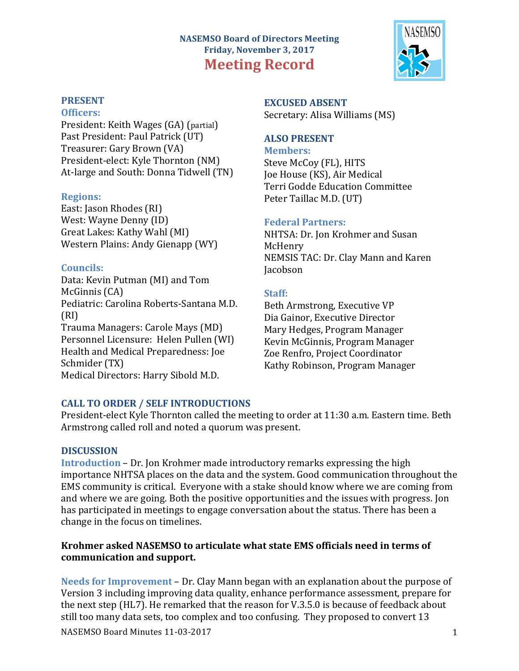# **NASEMSO Board of Directors Meeting Friday, November 3, 2017 Meeting Record**



#### **Officers:**

President: Keith Wages (GA) (partial) Past President: Paul Patrick (UT) Treasurer: Gary Brown (VA) President-elect: Kyle Thornton (NM) At-large and South: Donna Tidwell (TN)

#### **Regions:**

East: Jason Rhodes (RI) West: Wayne Denny (ID) Great Lakes: Kathy Wahl (MI) Western Plains: Andy Gienapp (WY)

### **Councils:**

Data: Kevin Putman (MI) and Tom McGinnis (CA) Pediatric: Carolina Roberts-Santana M.D. (RI) Trauma Managers: Carole Mays (MD) Personnel Licensure: Helen Pullen (WI) Health and Medical Preparedness: Joe Schmider (TX) Medical Directors: Harry Sibold M.D.

**EXCUSED ABSENT** Secretary: Alisa Williams (MS)

## **ALSO PRESENT**

**Members:** Steve McCoy (FL), HITS Joe House (KS), Air Medical Terri Godde Education Committee Peter Taillac M.D. (UT)

### **Federal Partners:**

NHTSA: Dr. Jon Krohmer and Susan McHenry NEMSIS TAC: Dr. Clay Mann and Karen Jacobson

# **Staff:**

Beth Armstrong, Executive VP Dia Gainor, Executive Director Mary Hedges, Program Manager Kevin McGinnis, Program Manager Zoe Renfro, Project Coordinator Kathy Robinson, Program Manager

# **CALL TO ORDER / SELF INTRODUCTIONS**

President-elect Kyle Thornton called the meeting to order at 11:30 a.m. Eastern time. Beth Armstrong called roll and noted a quorum was present.

# **DISCUSSION**

**Introduction** – Dr. Ion Krohmer made introductory remarks expressing the high importance NHTSA places on the data and the system. Good communication throughout the EMS community is critical. Everyone with a stake should know where we are coming from and where we are going. Both the positive opportunities and the issues with progress. Jon has participated in meetings to engage conversation about the status. There has been a change in the focus on timelines.

### Krohmer asked NASEMSO to articulate what state EMS officials need in terms of **communication and support.**

NASEMSO Board Minutes 11-03-2017 1 **Needs for Improvement** – Dr. Clay Mann began with an explanation about the purpose of Version 3 including improving data quality, enhance performance assessment, prepare for the next step (HL7). He remarked that the reason for V.3.5.0 is because of feedback about still too many data sets, too complex and too confusing. They proposed to convert 13